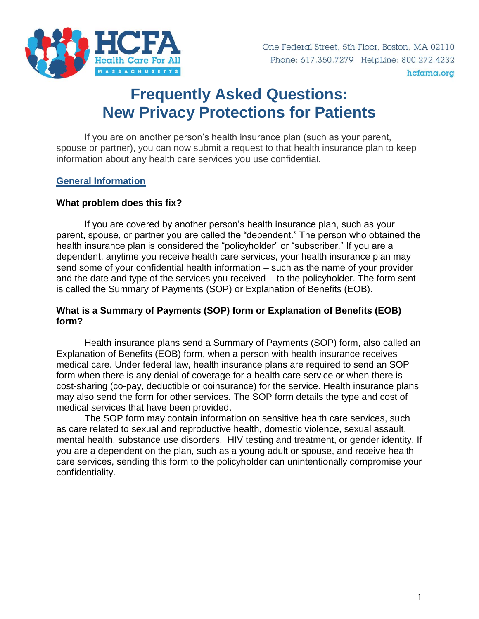

hcfama.org

# **Frequently Asked Questions: New Privacy Protections for Patients**

If you are on another person's health insurance plan (such as your parent, spouse or partner), you can now submit a request to that health insurance plan to keep information about any health care services you use confidential.

#### **General Information**

#### **What problem does this fix?**

If you are covered by another person's health insurance plan, such as your parent, spouse, or partner you are called the "dependent." The person who obtained the health insurance plan is considered the "policyholder" or "subscriber." If you are a dependent, anytime you receive health care services, your health insurance plan may send some of your confidential health information – such as the name of your provider and the date and type of the services you received – to the policyholder. The form sent is called the Summary of Payments (SOP) or Explanation of Benefits (EOB).

#### **What is a Summary of Payments (SOP) form or Explanation of Benefits (EOB) form?**

Health insurance plans send a Summary of Payments (SOP) form, also called an Explanation of Benefits (EOB) form, when a person with health insurance receives medical care. Under federal law, health insurance plans are required to send an SOP form when there is any denial of coverage for a health care service or when there is cost-sharing (co-pay, deductible or coinsurance) for the service. Health insurance plans may also send the form for other services. The SOP form details the type and cost of medical services that have been provided.

The SOP form may contain information on sensitive health care services, such as care related to sexual and reproductive health, domestic violence, sexual assault, mental health, substance use disorders, HIV testing and treatment, or gender identity. If you are a dependent on the plan, such as a young adult or spouse, and receive health care services, sending this form to the policyholder can unintentionally compromise your confidentiality.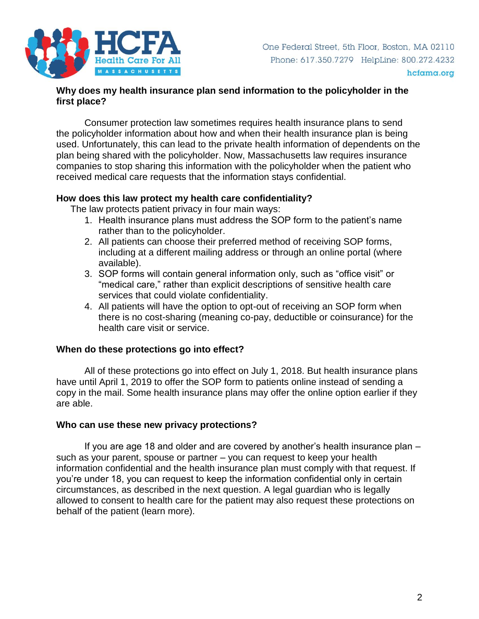

#### **Why does my health insurance plan send information to the policyholder in the first place?**

Consumer protection law sometimes requires health insurance plans to send the policyholder information about how and when their health insurance plan is being used. Unfortunately, this can lead to the private health information of dependents on the plan being shared with the policyholder. Now, Massachusetts law requires insurance companies to stop sharing this information with the policyholder when the patient who received medical care requests that the information stays confidential.

#### **How does this law protect my health care confidentiality?**

The law protects patient privacy in four main ways:

- 1. Health insurance plans must address the SOP form to the patient's name rather than to the policyholder.
- 2. All patients can choose their preferred method of receiving SOP forms, including at a different mailing address or through an online portal (where available).
- 3. SOP forms will contain general information only, such as "office visit" or "medical care," rather than explicit descriptions of sensitive health care services that could violate confidentiality.
- 4. All patients will have the option to opt-out of receiving an SOP form when there is no cost-sharing (meaning co-pay, deductible or coinsurance) for the health care visit or service.

#### **When do these protections go into effect?**

All of these protections go into effect on July 1, 2018. But health insurance plans have until April 1, 2019 to offer the SOP form to patients online instead of sending a copy in the mail. Some health insurance plans may offer the online option earlier if they are able.

#### **Who can use these new privacy protections?**

If you are age 18 and older and are covered by another's health insurance plan – such as your parent, spouse or partner – you can request to keep your health information confidential and the health insurance plan must comply with that request. If you're under 18, you can request to keep the information confidential only in certain circumstances, as described in the next question. A legal guardian who is legally allowed to consent to health care for the patient may also request these protections on behalf of the patient (learn more).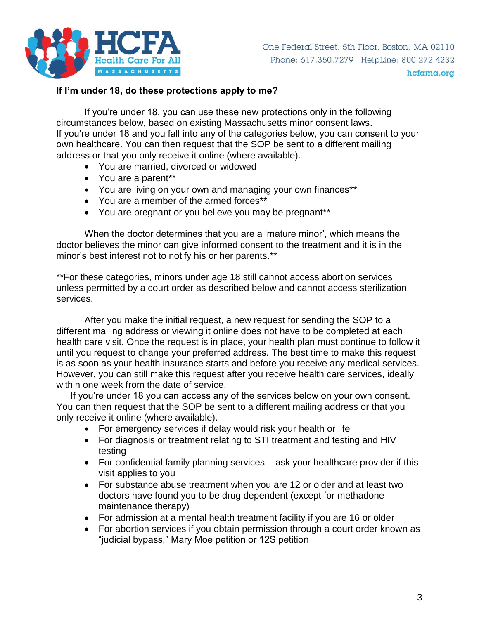

#### **If I'm under 18, do these protections apply to me?**

If you're under 18, you can use these new protections only in the following circumstances below, based on existing Massachusetts minor consent laws. If you're under 18 and you fall into any of the categories below, you can consent to your own healthcare. You can then request that the SOP be sent to a different mailing address or that you only receive it online (where available).

- You are married, divorced or widowed
- You are a parent\*\*
- You are living on your own and managing your own finances\*\*
- You are a member of the armed forces\*\*
- You are pregnant or you believe you may be pregnant<sup>\*\*</sup>

When the doctor determines that you are a 'mature minor', which means the doctor believes the minor can give informed consent to the treatment and it is in the minor's best interest not to notify his or her parents.\*\*

\*\*For these categories, minors under age 18 still cannot access abortion services unless permitted by a court order as described below and cannot access sterilization services.

After you make the initial request, a new request for sending the SOP to a different mailing address or viewing it online does not have to be completed at each health care visit. Once the request is in place, your health plan must continue to follow it until you request to change your preferred address. The best time to make this request is as soon as your health insurance starts and before you receive any medical services. However, you can still make this request after you receive health care services, ideally within one week from the date of service.

If you're under 18 you can access any of the services below on your own consent. You can then request that the SOP be sent to a different mailing address or that you only receive it online (where available).

- For emergency services if delay would risk your health or life
- For diagnosis or treatment relating to STI treatment and testing and HIV testing
- For confidential family planning services ask your healthcare provider if this visit applies to you
- For substance abuse treatment when you are 12 or older and at least two doctors have found you to be drug dependent (except for methadone maintenance therapy)
- For admission at a mental health treatment facility if you are 16 or older
- For abortion services if you obtain permission through a court order known as "judicial bypass," Mary Moe petition or 12S petition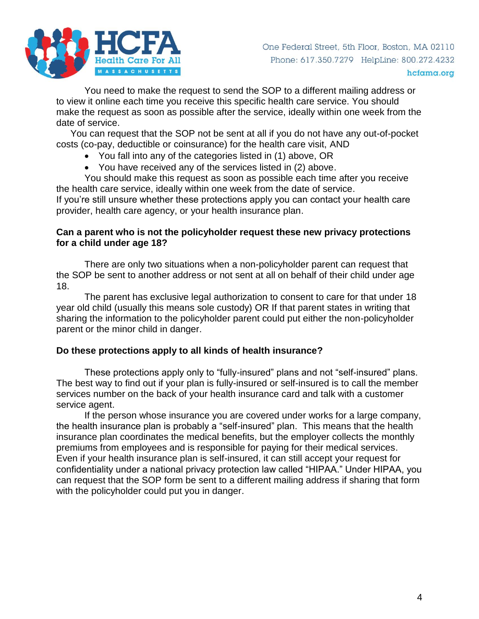

You need to make the request to send the SOP to a different mailing address or to view it online each time you receive this specific health care service. You should make the request as soon as possible after the service, ideally within one week from the date of service.

You can request that the SOP not be sent at all if you do not have any out-of-pocket costs (co-pay, deductible or coinsurance) for the health care visit, AND

- You fall into any of the categories listed in (1) above, OR
- You have received any of the services listed in (2) above.

You should make this request as soon as possible each time after you receive the health care service, ideally within one week from the date of service.

If you're still unsure whether these protections apply you can contact your health care provider, health care agency, or your health insurance plan.

#### **Can a parent who is not the policyholder request these new privacy protections for a child under age 18?**

There are only two situations when a non-policyholder parent can request that the SOP be sent to another address or not sent at all on behalf of their child under age 18.

The parent has exclusive legal authorization to consent to care for that under 18 year old child (usually this means sole custody) OR If that parent states in writing that sharing the information to the policyholder parent could put either the non-policyholder parent or the minor child in danger.

# **Do these protections apply to all kinds of health insurance?**

These protections apply only to "fully-insured" plans and not "self-insured" plans. The best way to find out if your plan is fully-insured or self-insured is to call the member services number on the back of your health insurance card and talk with a customer service agent.

If the person whose insurance you are covered under works for a large company, the health insurance plan is probably a "self-insured" plan. This means that the health insurance plan coordinates the medical benefits, but the employer collects the monthly premiums from employees and is responsible for paying for their medical services. Even if your health insurance plan is self-insured, it can still accept your request for confidentiality under a national privacy protection law called "HIPAA." Under HIPAA, you can request that the SOP form be sent to a different mailing address if sharing that form with the policyholder could put you in danger.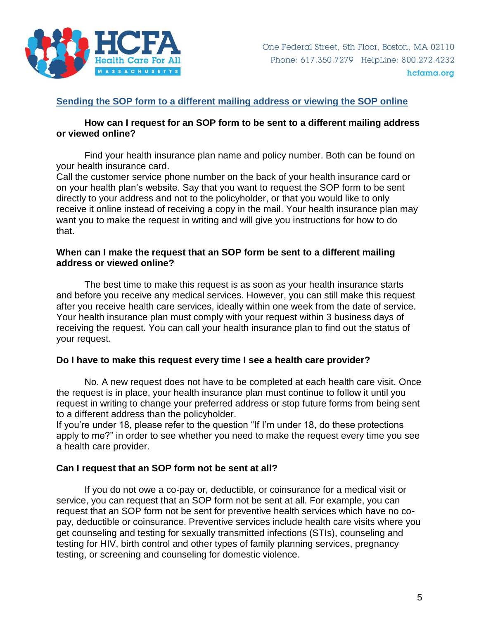

#### **Sending the SOP form to a different mailing address or viewing the SOP online**

#### **How can I request for an SOP form to be sent to a different mailing address or viewed online?**

Find your health insurance plan name and policy number. Both can be found on your health insurance card.

Call the customer service phone number on the back of your health insurance card or on your health plan's website. Say that you want to request the SOP form to be sent directly to your address and not to the policyholder, or that you would like to only receive it online instead of receiving a copy in the mail. Your health insurance plan may want you to make the request in writing and will give you instructions for how to do that.

#### **When can I make the request that an SOP form be sent to a different mailing address or viewed online?**

The best time to make this request is as soon as your health insurance starts and before you receive any medical services. However, you can still make this request after you receive health care services, ideally within one week from the date of service. Your health insurance plan must comply with your request within 3 business days of receiving the request. You can call your health insurance plan to find out the status of your request.

#### **Do I have to make this request every time I see a health care provider?**

No. A new request does not have to be completed at each health care visit. Once the request is in place, your health insurance plan must continue to follow it until you request in writing to change your preferred address or stop future forms from being sent to a different address than the policyholder.

If you're under 18, please refer to the question "If I'm under 18, do these protections apply to me?" in order to see whether you need to make the request every time you see a health care provider.

#### **Can I request that an SOP form not be sent at all?**

If you do not owe a co-pay or, deductible, or coinsurance for a medical visit or service, you can request that an SOP form not be sent at all. For example, you can request that an SOP form not be sent for preventive health services which have no copay, deductible or coinsurance. Preventive services include health care visits where you get counseling and testing for sexually transmitted infections (STIs), counseling and testing for HIV, birth control and other types of family planning services, pregnancy testing, or screening and counseling for domestic violence.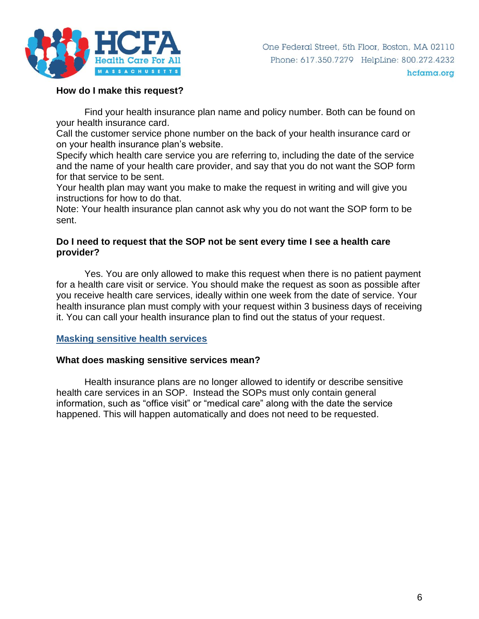

#### **How do I make this request?**

Find your health insurance plan name and policy number. Both can be found on your health insurance card.

Call the customer service phone number on the back of your health insurance card or on your health insurance plan's website.

Specify which health care service you are referring to, including the date of the service and the name of your health care provider, and say that you do not want the SOP form for that service to be sent.

Your health plan may want you make to make the request in writing and will give you instructions for how to do that.

Note: Your health insurance plan cannot ask why you do not want the SOP form to be sent.

#### **Do I need to request that the SOP not be sent every time I see a health care provider?**

Yes. You are only allowed to make this request when there is no patient payment for a health care visit or service. You should make the request as soon as possible after you receive health care services, ideally within one week from the date of service. Your health insurance plan must comply with your request within 3 business days of receiving it. You can call your health insurance plan to find out the status of your request.

# **Masking sensitive health services**

#### **What does masking sensitive services mean?**

Health insurance plans are no longer allowed to identify or describe sensitive health care services in an SOP. Instead the SOPs must only contain general information, such as "office visit" or "medical care" along with the date the service happened. This will happen automatically and does not need to be requested.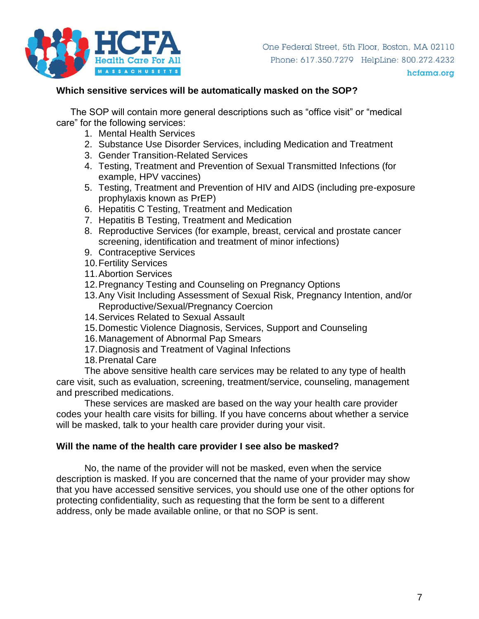

#### **Which sensitive services will be automatically masked on the SOP?**

The SOP will contain more general descriptions such as "office visit" or "medical care" for the following services:

- 1. Mental Health Services
- 2. Substance Use Disorder Services, including Medication and Treatment
- 3. Gender Transition-Related Services
- 4. Testing, Treatment and Prevention of Sexual Transmitted Infections (for example, HPV vaccines)
- 5. Testing, Treatment and Prevention of HIV and AIDS (including pre-exposure prophylaxis known as PrEP)
- 6. Hepatitis C Testing, Treatment and Medication
- 7. Hepatitis B Testing, Treatment and Medication
- 8. Reproductive Services (for example, breast, cervical and prostate cancer screening, identification and treatment of minor infections)
- 9. Contraceptive Services
- 10.Fertility Services
- 11.Abortion Services
- 12.Pregnancy Testing and Counseling on Pregnancy Options
- 13.Any Visit Including Assessment of Sexual Risk, Pregnancy Intention, and/or Reproductive/Sexual/Pregnancy Coercion
- 14.Services Related to Sexual Assault
- 15.Domestic Violence Diagnosis, Services, Support and Counseling
- 16.Management of Abnormal Pap Smears
- 17.Diagnosis and Treatment of Vaginal Infections
- 18.Prenatal Care

The above sensitive health care services may be related to any type of health care visit, such as evaluation, screening, treatment/service, counseling, management and prescribed medications.

These services are masked are based on the way your health care provider codes your health care visits for billing. If you have concerns about whether a service will be masked, talk to your health care provider during your visit.

#### **Will the name of the health care provider I see also be masked?**

No, the name of the provider will not be masked, even when the service description is masked. If you are concerned that the name of your provider may show that you have accessed sensitive services, you should use one of the other options for protecting confidentiality, such as requesting that the form be sent to a different address, only be made available online, or that no SOP is sent.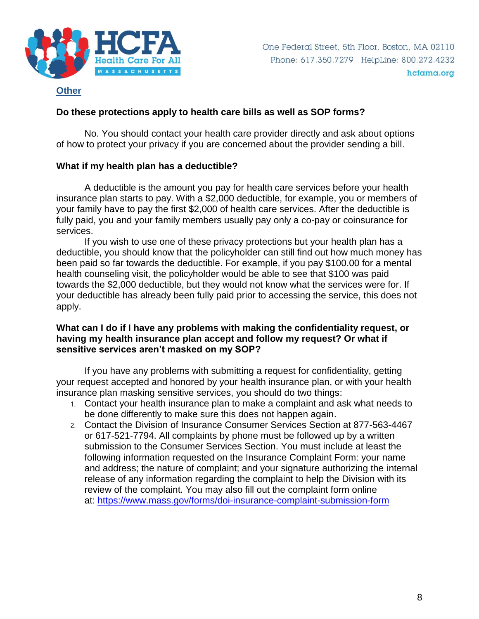

#### **Other**

# **Do these protections apply to health care bills as well as SOP forms?**

No. You should contact your health care provider directly and ask about options of how to protect your privacy if you are concerned about the provider sending a bill.

# **What if my health plan has a deductible?**

A deductible is the amount you pay for health care services before your health insurance plan starts to pay. With a \$2,000 deductible, for example, you or members of your family have to pay the first \$2,000 of health care services. After the deductible is fully paid, you and your family members usually pay only a co-pay or coinsurance for services.

If you wish to use one of these privacy protections but your health plan has a deductible, you should know that the policyholder can still find out how much money has been paid so far towards the deductible. For example, if you pay \$100.00 for a mental health counseling visit, the policyholder would be able to see that \$100 was paid towards the \$2,000 deductible, but they would not know what the services were for. If your deductible has already been fully paid prior to accessing the service, this does not apply.

#### **What can I do if I have any problems with making the confidentiality request, or having my health insurance plan accept and follow my request? Or what if sensitive services aren't masked on my SOP?**

If you have any problems with submitting a request for confidentiality, getting your request accepted and honored by your health insurance plan, or with your health insurance plan masking sensitive services, you should do two things:

- 1. Contact your health insurance plan to make a complaint and ask what needs to be done differently to make sure this does not happen again.
- 2. Contact the Division of Insurance Consumer Services Section at 877-563-4467 or 617-521-7794. All complaints by phone must be followed up by a written submission to the Consumer Services Section. You must include at least the following information requested on the Insurance Complaint Form: your name and address; the nature of complaint; and your signature authorizing the internal release of any information regarding the complaint to help the Division with its review of the complaint. You may also fill out the complaint form online at: <https://www.mass.gov/forms/doi-insurance-complaint-submission-form>